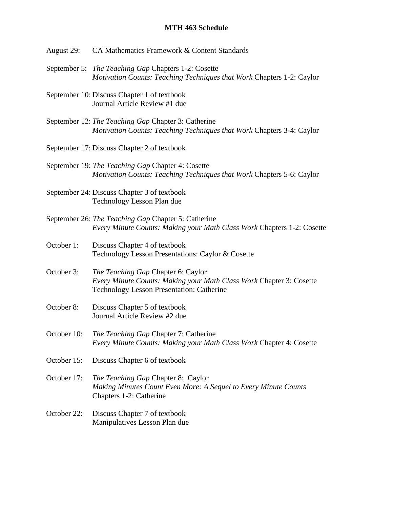## **MTH 463 Schedule**

- August 29: CA Mathematics Framework & Content Standards
- September 5: *The Teaching Gap* Chapters 1-2: Cosette *Motivation Counts: Teaching Techniques that Work* Chapters 1-2: Caylor
- September 10: Discuss Chapter 1 of textbook Journal Article Review #1 due
- September 12: *The Teaching Gap* Chapter 3: Catherine *Motivation Counts: Teaching Techniques that Work* Chapters 3-4: Caylor
- September 17: Discuss Chapter 2 of textbook
- September 19: *The Teaching Gap* Chapter 4: Cosette *Motivation Counts: Teaching Techniques that Work* Chapters 5-6: Caylor
- September 24: Discuss Chapter 3 of textbook Technology Lesson Plan due
- September 26: *The Teaching Gap* Chapter 5: Catherine *Every Minute Counts: Making your Math Class Work* Chapters 1-2: Cosette
- October 1: Discuss Chapter 4 of textbook Technology Lesson Presentations: Caylor & Cosette
- October 3: *The Teaching Gap* Chapter 6: Caylor *Every Minute Counts: Making your Math Class Work* Chapter 3: Cosette Technology Lesson Presentation: Catherine
- October 8: Discuss Chapter 5 of textbook Journal Article Review #2 due
- October 10: *The Teaching Gap* Chapter 7: Catherine *Every Minute Counts: Making your Math Class Work* Chapter 4: Cosette
- October 15: Discuss Chapter 6 of textbook
- October 17: *The Teaching Gap* Chapter 8: Caylor *Making Minutes Count Even More: A Sequel to Every Minute Counts* Chapters 1-2: Catherine
- October 22: Discuss Chapter 7 of textbook Manipulatives Lesson Plan due